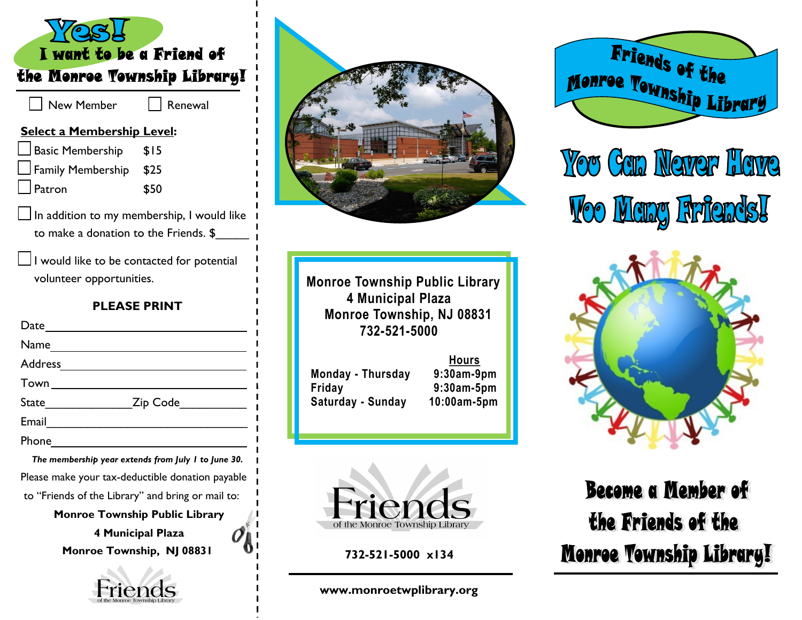| I want to be a Friend of                                                                   |         |  |
|--------------------------------------------------------------------------------------------|---------|--|
| the Monroe Township Library!                                                               |         |  |
| <b>New Member</b>                                                                          | Renewal |  |
| <b>Select a Membership Level:</b>                                                          |         |  |
| Basic Membership \$15                                                                      |         |  |
| Family Membership \$25                                                                     |         |  |
| Patron                                                                                     | \$50    |  |
| $\Box$ In addition to my membership, I would like<br>to make a donation to the Friends. \$ |         |  |
| $\Box$ I would like to be contacted for potential<br>volunteer opportunities.              |         |  |
| <b>PLEASE PRINT</b>                                                                        |         |  |
|                                                                                            |         |  |
|                                                                                            |         |  |
|                                                                                            |         |  |
| Town _________________________                                                             |         |  |
| State_______________________Zip Code_______________                                        |         |  |
|                                                                                            |         |  |
|                                                                                            |         |  |
| The membership year extends from July I to June 30.                                        |         |  |
| L<br>Please make your tax-deductible donation payable                                      |         |  |
| to "Friends of the Library" and bring or mail to:                                          |         |  |
| <b>Monroe Township Public Library</b>                                                      |         |  |
| 4 Municipal Plaza<br>Monroe Townshin NI 08831                                              |         |  |

**4 Municipal Plaza Monroe Township, NJ 08831**





**Monroe Township Public Library 4 Municipal Plaza Monroe Township, NJ 08831 732-521-5000**

| Monday - Thursda  |  |
|-------------------|--|
| Friday            |  |
| Saturday - Sunday |  |

 **Hours Monday - Thursday 9:30am-9pm Friday 9:30am-5pm Saturday - Sunday 10:00am-5pm**



**732-521-5000 x134**

**www.monroetwplibrary.org**



You Gan Naver Have **Voo Mang Firiends!** 



Become a Member of the Friends of the Monroe Township Library!